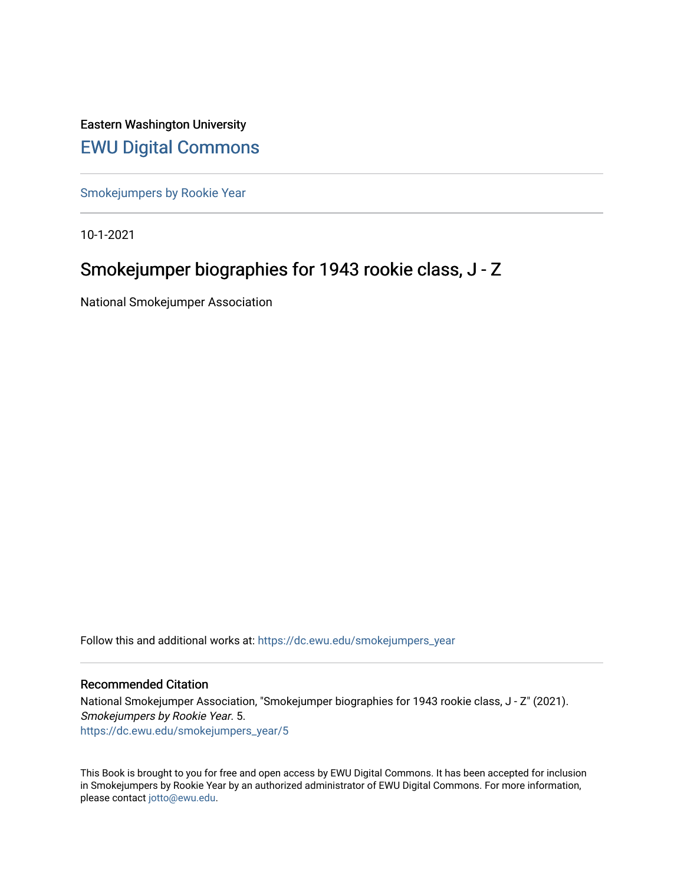Eastern Washington University [EWU Digital Commons](https://dc.ewu.edu/)

[Smokejumpers by Rookie Year](https://dc.ewu.edu/smokejumpers_year)

10-1-2021

# Smokejumper biographies for 1943 rookie class, J - Z

National Smokejumper Association

Follow this and additional works at: [https://dc.ewu.edu/smokejumpers\\_year](https://dc.ewu.edu/smokejumpers_year?utm_source=dc.ewu.edu%2Fsmokejumpers_year%2F5&utm_medium=PDF&utm_campaign=PDFCoverPages) 

#### Recommended Citation

National Smokejumper Association, "Smokejumper biographies for 1943 rookie class, J - Z" (2021). Smokejumpers by Rookie Year. 5. [https://dc.ewu.edu/smokejumpers\\_year/5](https://dc.ewu.edu/smokejumpers_year/5?utm_source=dc.ewu.edu%2Fsmokejumpers_year%2F5&utm_medium=PDF&utm_campaign=PDFCoverPages)

This Book is brought to you for free and open access by EWU Digital Commons. It has been accepted for inclusion in Smokejumpers by Rookie Year by an authorized administrator of EWU Digital Commons. For more information, please contact [jotto@ewu.edu](mailto:jotto@ewu.edu).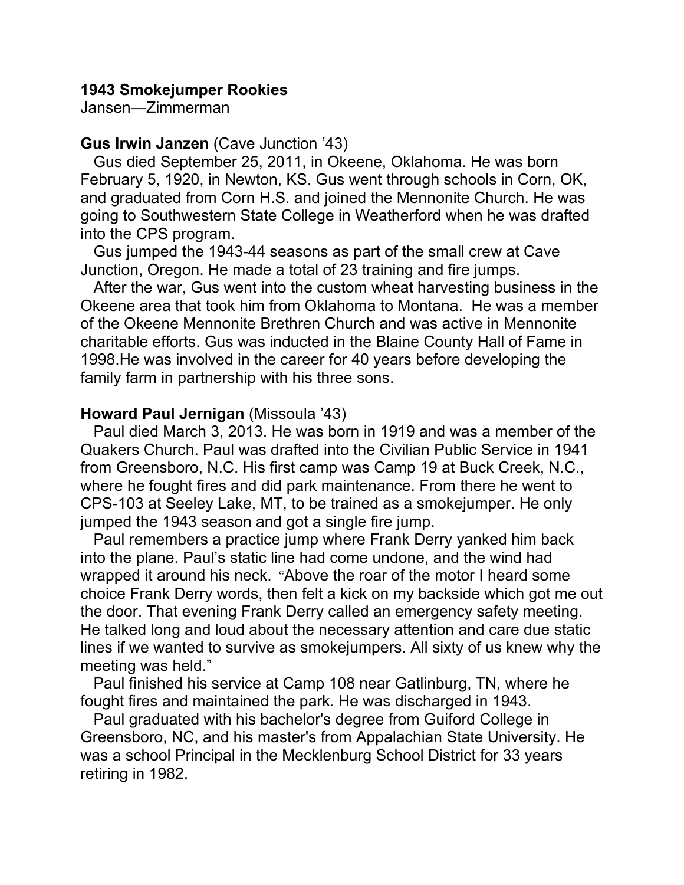### **1943 Smokejumper Rookies**

Jansen—Zimmerman

### **Gus Irwin Janzen** (Cave Junction '43)

 Gus died September 25, 2011, in Okeene, Oklahoma. He was born February 5, 1920, in Newton, KS. Gus went through schools in Corn, OK, and graduated from Corn H.S. and joined the Mennonite Church. He was going to Southwestern State College in Weatherford when he was drafted into the CPS program.

 Gus jumped the 1943-44 seasons as part of the small crew at Cave Junction, Oregon. He made a total of 23 training and fire jumps.

 After the war, Gus went into the custom wheat harvesting business in the Okeene area that took him from Oklahoma to Montana. He was a member of the Okeene Mennonite Brethren Church and was active in Mennonite charitable efforts. Gus was inducted in the Blaine County Hall of Fame in 1998.He was involved in the career for 40 years before developing the family farm in partnership with his three sons.

### **Howard Paul Jernigan** (Missoula '43)

 Paul died March 3, 2013. He was born in 1919 and was a member of the Quakers Church. Paul was drafted into the Civilian Public Service in 1941 from Greensboro, N.C. His first camp was Camp 19 at Buck Creek, N.C., where he fought fires and did park maintenance. From there he went to CPS-103 at Seeley Lake, MT, to be trained as a smokejumper. He only jumped the 1943 season and got a single fire jump.

 Paul remembers a practice jump where Frank Derry yanked him back into the plane. Paul's static line had come undone, and the wind had wrapped it around his neck. "Above the roar of the motor I heard some choice Frank Derry words, then felt a kick on my backside which got me out the door. That evening Frank Derry called an emergency safety meeting. He talked long and loud about the necessary attention and care due static lines if we wanted to survive as smokejumpers. All sixty of us knew why the meeting was held."

 Paul finished his service at Camp 108 near Gatlinburg, TN, where he fought fires and maintained the park. He was discharged in 1943.

 Paul graduated with his bachelor's degree from Guiford College in Greensboro, NC, and his master's from Appalachian State University. He was a school Principal in the Mecklenburg School District for 33 years retiring in 1982.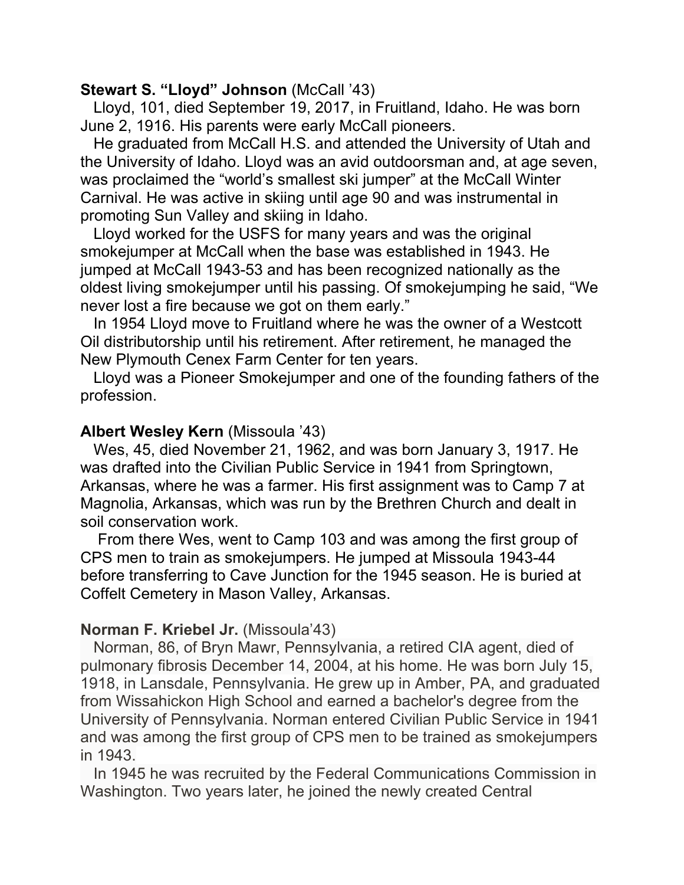## **Stewart S. "Lloyd" Johnson (McCall '43)**

 Lloyd, 101, died September 19, 2017, in Fruitland, Idaho. He was born June 2, 1916. His parents were early McCall pioneers.

 He graduated from McCall H.S. and attended the University of Utah and the University of Idaho. Lloyd was an avid outdoorsman and, at age seven, was proclaimed the "world's smallest ski jumper" at the McCall Winter Carnival. He was active in skiing until age 90 and was instrumental in promoting Sun Valley and skiing in Idaho.

 Lloyd worked for the USFS for many years and was the original smokejumper at McCall when the base was established in 1943. He jumped at McCall 1943-53 and has been recognized nationally as the oldest living smokejumper until his passing. Of smokejumping he said, "We never lost a fire because we got on them early."

 In 1954 Lloyd move to Fruitland where he was the owner of a Westcott Oil distributorship until his retirement. After retirement, he managed the New Plymouth Cenex Farm Center for ten years.

 Lloyd was a Pioneer Smokejumper and one of the founding fathers of the profession.

### **Albert Wesley Kern** (Missoula '43)

 Wes, 45, died November 21, 1962, and was born January 3, 1917. He was drafted into the Civilian Public Service in 1941 from Springtown, Arkansas, where he was a farmer. His first assignment was to Camp 7 at Magnolia, Arkansas, which was run by the Brethren Church and dealt in soil conservation work.

 From there Wes, went to Camp 103 and was among the first group of CPS men to train as smokejumpers. He jumped at Missoula 1943-44 before transferring to Cave Junction for the 1945 season. He is buried at Coffelt Cemetery in Mason Valley, Arkansas.

### **Norman F. Kriebel Jr.** (Missoula'43)

 Norman, 86, of Bryn Mawr, Pennsylvania, a retired CIA agent, died of pulmonary fibrosis December 14, 2004, at his home. He was born July 15, 1918, in Lansdale, Pennsylvania. He grew up in Amber, PA, and graduated from Wissahickon High School and earned a bachelor's degree from the University of Pennsylvania. Norman entered Civilian Public Service in 1941 and was among the first group of CPS men to be trained as smokejumpers in 1943.

 In 1945 he was recruited by the Federal Communications Commission in Washington. Two years later, he joined the newly created Central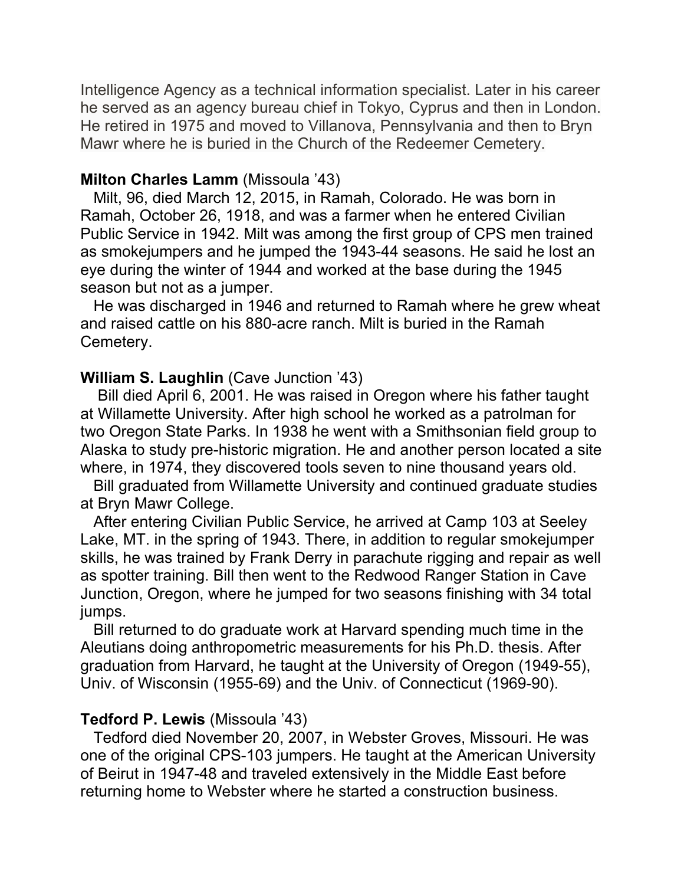Intelligence Agency as a technical information specialist. Later in his career he served as an agency bureau chief in Tokyo, Cyprus and then in London. He retired in 1975 and moved to Villanova, Pennsylvania and then to Bryn Mawr where he is buried in the Church of the Redeemer Cemetery.

### **Milton Charles Lamm** (Missoula '43)

 Milt, 96, died March 12, 2015, in Ramah, Colorado. He was born in Ramah, October 26, 1918, and was a farmer when he entered Civilian Public Service in 1942. Milt was among the first group of CPS men trained as smokejumpers and he jumped the 1943-44 seasons. He said he lost an eye during the winter of 1944 and worked at the base during the 1945 season but not as a jumper.

 He was discharged in 1946 and returned to Ramah where he grew wheat and raised cattle on his 880-acre ranch. Milt is buried in the Ramah Cemetery.

### **William S. Laughlin** (Cave Junction '43)

 Bill died April 6, 2001. He was raised in Oregon where his father taught at Willamette University. After high school he worked as a patrolman for two Oregon State Parks. In 1938 he went with a Smithsonian field group to Alaska to study pre-historic migration. He and another person located a site where, in 1974, they discovered tools seven to nine thousand years old.

 Bill graduated from Willamette University and continued graduate studies at Bryn Mawr College.

 After entering Civilian Public Service, he arrived at Camp 103 at Seeley Lake, MT. in the spring of 1943. There, in addition to regular smokejumper skills, he was trained by Frank Derry in parachute rigging and repair as well as spotter training. Bill then went to the Redwood Ranger Station in Cave Junction, Oregon, where he jumped for two seasons finishing with 34 total jumps.

 Bill returned to do graduate work at Harvard spending much time in the Aleutians doing anthropometric measurements for his Ph.D. thesis. After graduation from Harvard, he taught at the University of Oregon (1949-55), Univ. of Wisconsin (1955-69) and the Univ. of Connecticut (1969-90).

### **Tedford P. Lewis** (Missoula '43)

 Tedford died November 20, 2007, in Webster Groves, Missouri. He was one of the original CPS-103 jumpers. He taught at the American University of Beirut in 1947-48 and traveled extensively in the Middle East before returning home to Webster where he started a construction business.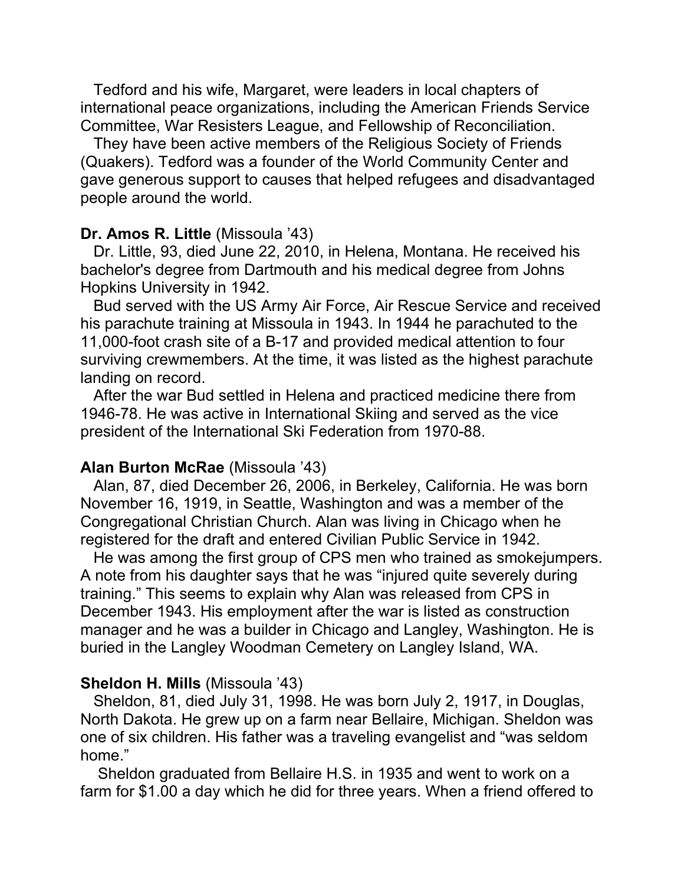Tedford and his wife, Margaret, were leaders in local chapters of international peace organizations, including the American Friends Service Committee, War Resisters League, and Fellowship of Reconciliation.

 They have been active members of the Religious Society of Friends (Quakers). Tedford was a founder of the World Community Center and gave generous support to causes that helped refugees and disadvantaged people around the world.

#### **Dr. Amos R. Little** (Missoula '43)

 Dr. Little, 93, died June 22, 2010, in Helena, Montana. He received his bachelor's degree from Dartmouth and his medical degree from Johns Hopkins University in 1942.

 Bud served with the US Army Air Force, Air Rescue Service and received his parachute training at Missoula in 1943. In 1944 he parachuted to the 11,000-foot crash site of a B-17 and provided medical attention to four surviving crewmembers. At the time, it was listed as the highest parachute landing on record.

 After the war Bud settled in Helena and practiced medicine there from 1946-78. He was active in International Skiing and served as the vice president of the International Ski Federation from 1970-88.

#### **Alan Burton McRae** (Missoula '43)

 Alan, 87, died December 26, 2006, in Berkeley, California. He was born November 16, 1919, in Seattle, Washington and was a member of the Congregational Christian Church. Alan was living in Chicago when he registered for the draft and entered Civilian Public Service in 1942.

 He was among the first group of CPS men who trained as smokejumpers. A note from his daughter says that he was "injured quite severely during training." This seems to explain why Alan was released from CPS in December 1943. His employment after the war is listed as construction manager and he was a builder in Chicago and Langley, Washington. He is buried in the Langley Woodman Cemetery on Langley Island, WA.

#### **Sheldon H. Mills** (Missoula '43)

 Sheldon, 81, died July 31, 1998. He was born July 2, 1917, in Douglas, North Dakota. He grew up on a farm near Bellaire, Michigan. Sheldon was one of six children. His father was a traveling evangelist and "was seldom home."

 Sheldon graduated from Bellaire H.S. in 1935 and went to work on a farm for \$1.00 a day which he did for three years. When a friend offered to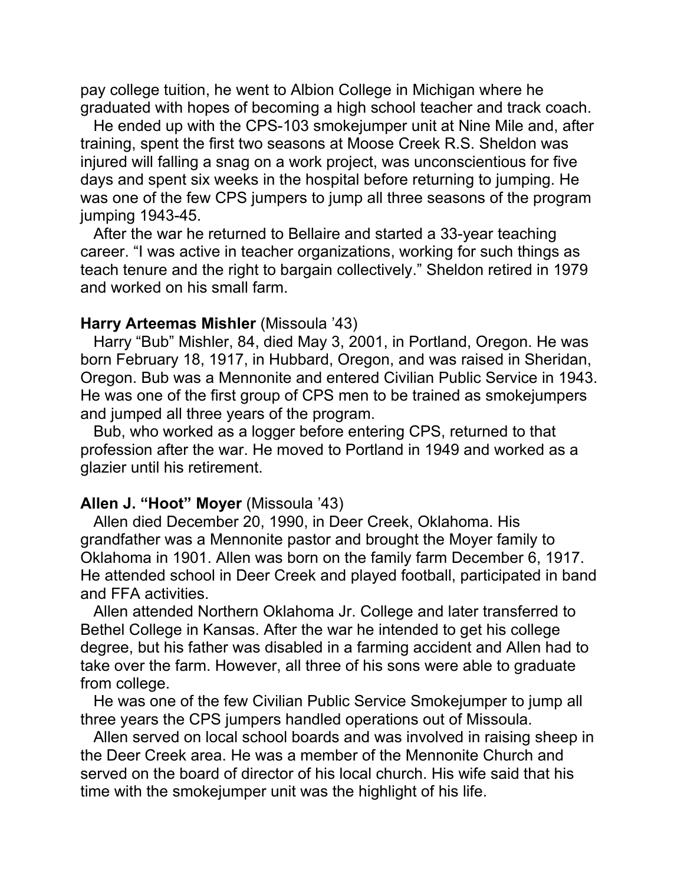pay college tuition, he went to Albion College in Michigan where he graduated with hopes of becoming a high school teacher and track coach.

 He ended up with the CPS-103 smokejumper unit at Nine Mile and, after training, spent the first two seasons at Moose Creek R.S. Sheldon was injured will falling a snag on a work project, was unconscientious for five days and spent six weeks in the hospital before returning to jumping. He was one of the few CPS jumpers to jump all three seasons of the program jumping 1943-45.

 After the war he returned to Bellaire and started a 33-year teaching career. "I was active in teacher organizations, working for such things as teach tenure and the right to bargain collectively." Sheldon retired in 1979 and worked on his small farm.

### **Harry Arteemas Mishler** (Missoula '43)

 Harry "Bub" Mishler, 84, died May 3, 2001, in Portland, Oregon. He was born February 18, 1917, in Hubbard, Oregon, and was raised in Sheridan, Oregon. Bub was a Mennonite and entered Civilian Public Service in 1943. He was one of the first group of CPS men to be trained as smokejumpers and jumped all three years of the program.

 Bub, who worked as a logger before entering CPS, returned to that profession after the war. He moved to Portland in 1949 and worked as a glazier until his retirement.

### **Allen J. "Hoot" Moyer** (Missoula '43)

 Allen died December 20, 1990, in Deer Creek, Oklahoma. His grandfather was a Mennonite pastor and brought the Moyer family to Oklahoma in 1901. Allen was born on the family farm December 6, 1917. He attended school in Deer Creek and played football, participated in band and FFA activities.

 Allen attended Northern Oklahoma Jr. College and later transferred to Bethel College in Kansas. After the war he intended to get his college degree, but his father was disabled in a farming accident and Allen had to take over the farm. However, all three of his sons were able to graduate from college.

 He was one of the few Civilian Public Service Smokejumper to jump all three years the CPS jumpers handled operations out of Missoula.

 Allen served on local school boards and was involved in raising sheep in the Deer Creek area. He was a member of the Mennonite Church and served on the board of director of his local church. His wife said that his time with the smokejumper unit was the highlight of his life.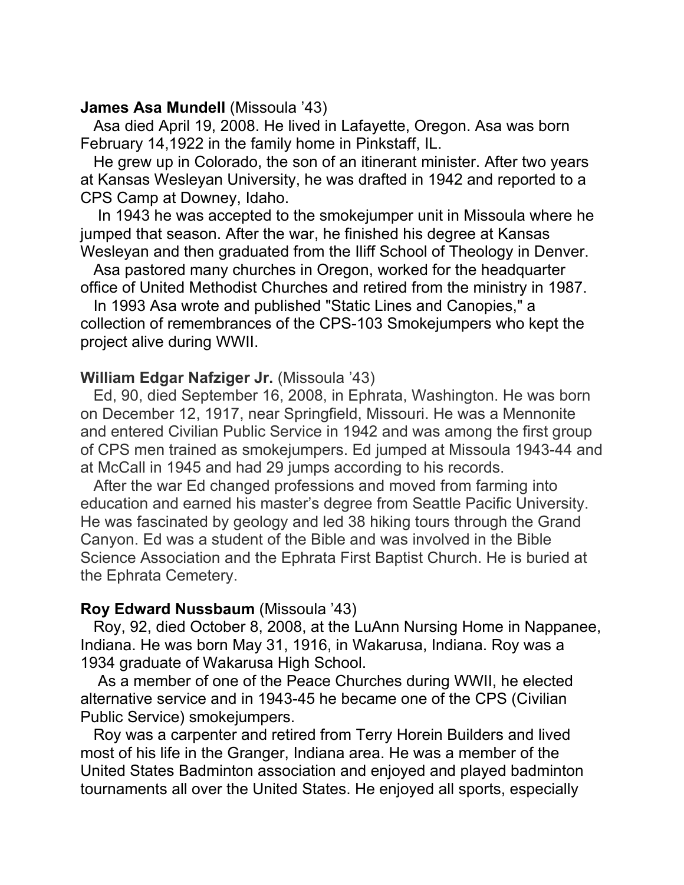#### **James Asa Mundell** (Missoula '43)

 Asa died April 19, 2008. He lived in Lafayette, Oregon. Asa was born February 14,1922 in the family home in Pinkstaff, IL.

 He grew up in Colorado, the son of an itinerant minister. After two years at Kansas Wesleyan University, he was drafted in 1942 and reported to a CPS Camp at Downey, Idaho.

 In 1943 he was accepted to the smokejumper unit in Missoula where he jumped that season. After the war, he finished his degree at Kansas Wesleyan and then graduated from the Iliff School of Theology in Denver.

 Asa pastored many churches in Oregon, worked for the headquarter office of United Methodist Churches and retired from the ministry in 1987.

 In 1993 Asa wrote and published "Static Lines and Canopies," a collection of remembrances of the CPS-103 Smokejumpers who kept the project alive during WWII.

### **William Edgar Nafziger Jr.** (Missoula '43)

 Ed, 90, died September 16, 2008, in Ephrata, Washington. He was born on December 12, 1917, near Springfield, Missouri. He was a Mennonite and entered Civilian Public Service in 1942 and was among the first group of CPS men trained as smokejumpers. Ed jumped at Missoula 1943-44 and at McCall in 1945 and had 29 jumps according to his records.

 After the war Ed changed professions and moved from farming into education and earned his master's degree from Seattle Pacific University. He was fascinated by geology and led 38 hiking tours through the Grand Canyon. Ed was a student of the Bible and was involved in the Bible Science Association and the Ephrata First Baptist Church. He is buried at the Ephrata Cemetery.

#### **Roy Edward Nussbaum** (Missoula '43)

 Roy, 92, died October 8, 2008, at the LuAnn Nursing Home in Nappanee, Indiana. He was born May 31, 1916, in Wakarusa, Indiana. Roy was a 1934 graduate of Wakarusa High School.

 As a member of one of the Peace Churches during WWII, he elected alternative service and in 1943-45 he became one of the CPS (Civilian Public Service) smokejumpers.

 Roy was a carpenter and retired from Terry Horein Builders and lived most of his life in the Granger, Indiana area. He was a member of the United States Badminton association and enjoyed and played badminton tournaments all over the United States. He enjoyed all sports, especially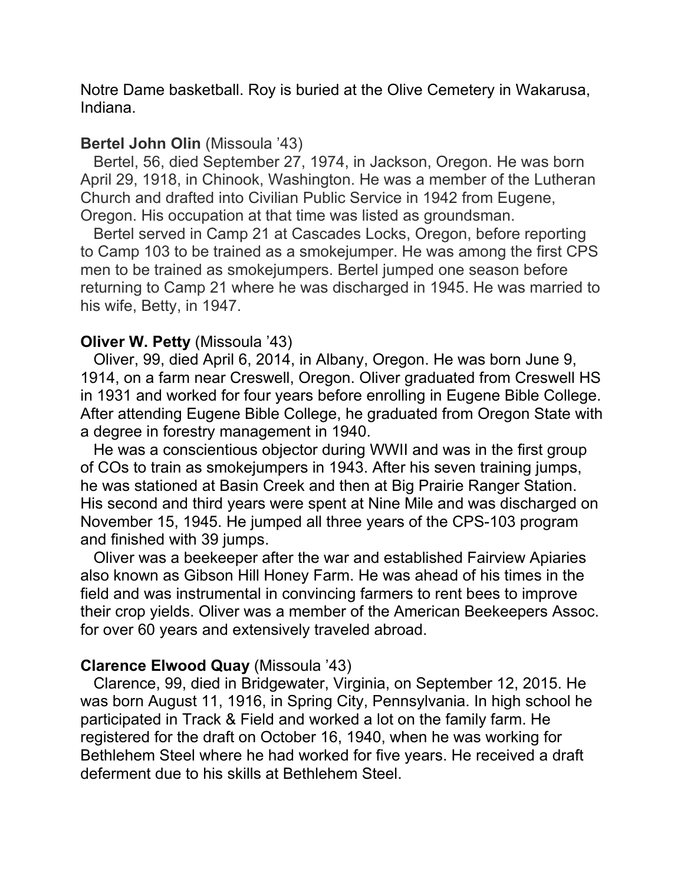Notre Dame basketball. Roy is buried at the Olive Cemetery in Wakarusa, Indiana.

### **Bertel John Olin** (Missoula '43)

 Bertel, 56, died September 27, 1974, in Jackson, Oregon. He was born April 29, 1918, in Chinook, Washington. He was a member of the Lutheran Church and drafted into Civilian Public Service in 1942 from Eugene, Oregon. His occupation at that time was listed as groundsman.

Bertel served in Camp 21 at Cascades Locks, Oregon, before reporting to Camp 103 to be trained as a smokejumper. He was among the first CPS men to be trained as smokejumpers. Bertel jumped one season before returning to Camp 21 where he was discharged in 1945. He was married to his wife, Betty, in 1947.

### **Oliver W. Petty** (Missoula '43)

 Oliver, 99, died April 6, 2014, in Albany, Oregon. He was born June 9, 1914, on a farm near Creswell, Oregon. Oliver graduated from Creswell HS in 1931 and worked for four years before enrolling in Eugene Bible College. After attending Eugene Bible College, he graduated from Oregon State with a degree in forestry management in 1940.

 He was a conscientious objector during WWII and was in the first group of COs to train as smokejumpers in 1943. After his seven training jumps, he was stationed at Basin Creek and then at Big Prairie Ranger Station. His second and third years were spent at Nine Mile and was discharged on November 15, 1945. He jumped all three years of the CPS-103 program and finished with 39 jumps.

 Oliver was a beekeeper after the war and established Fairview Apiaries also known as Gibson Hill Honey Farm. He was ahead of his times in the field and was instrumental in convincing farmers to rent bees to improve their crop yields. Oliver was a member of the American Beekeepers Assoc. for over 60 years and extensively traveled abroad.

### **Clarence Elwood Quay** (Missoula '43)

 Clarence, 99, died in Bridgewater, Virginia, on September 12, 2015. He was born August 11, 1916, in Spring City, Pennsylvania. In high school he participated in Track & Field and worked a lot on the family farm. He registered for the draft on October 16, 1940, when he was working for Bethlehem Steel where he had worked for five years. He received a draft deferment due to his skills at Bethlehem Steel.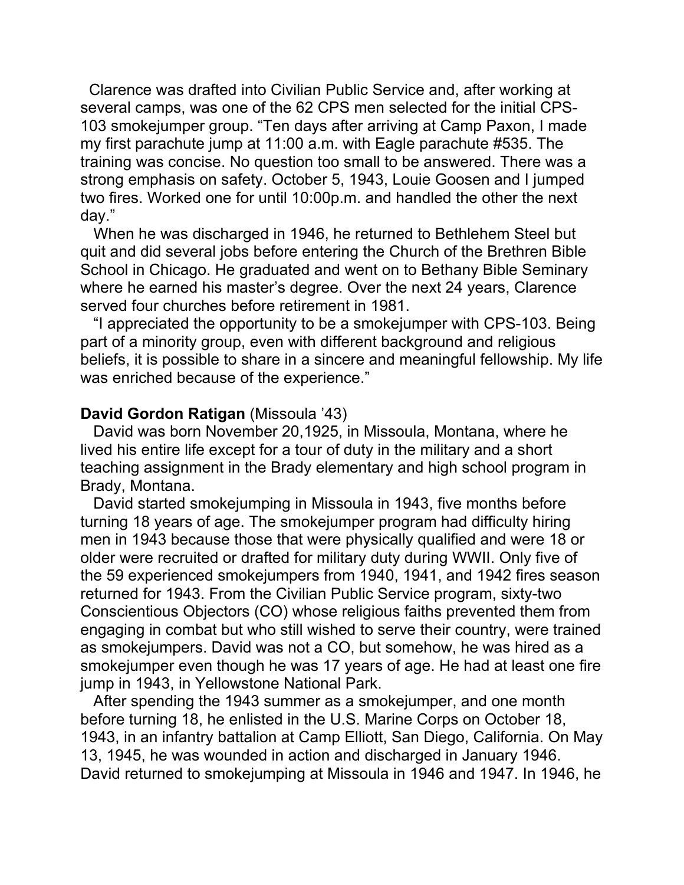Clarence was drafted into Civilian Public Service and, after working at several camps, was one of the 62 CPS men selected for the initial CPS-103 smokejumper group. "Ten days after arriving at Camp Paxon, I made my first parachute jump at 11:00 a.m. with Eagle parachute #535. The training was concise. No question too small to be answered. There was a strong emphasis on safety. October 5, 1943, Louie Goosen and I jumped two fires. Worked one for until 10:00p.m. and handled the other the next day."

 When he was discharged in 1946, he returned to Bethlehem Steel but quit and did several jobs before entering the Church of the Brethren Bible School in Chicago. He graduated and went on to Bethany Bible Seminary where he earned his master's degree. Over the next 24 years, Clarence served four churches before retirement in 1981.

 "I appreciated the opportunity to be a smokejumper with CPS-103. Being part of a minority group, even with different background and religious beliefs, it is possible to share in a sincere and meaningful fellowship. My life was enriched because of the experience."

### **David Gordon Ratigan** (Missoula '43)

 David was born November 20,1925, in Missoula, Montana, where he lived his entire life except for a tour of duty in the military and a short teaching assignment in the Brady elementary and high school program in Brady, Montana.

 David started smokejumping in Missoula in 1943, five months before turning 18 years of age. The smokejumper program had difficulty hiring men in 1943 because those that were physically qualified and were 18 or older were recruited or drafted for military duty during WWII. Only five of the 59 experienced smokejumpers from 1940, 1941, and 1942 fires season returned for 1943. From the Civilian Public Service program, sixty-two Conscientious Objectors (CO) whose religious faiths prevented them from engaging in combat but who still wished to serve their country, were trained as smokejumpers. David was not a CO, but somehow, he was hired as a smokejumper even though he was 17 years of age. He had at least one fire jump in 1943, in Yellowstone National Park.

 After spending the 1943 summer as a smokejumper, and one month before turning 18, he enlisted in the U.S. Marine Corps on October 18, 1943, in an infantry battalion at Camp Elliott, San Diego, California. On May 13, 1945, he was wounded in action and discharged in January 1946. David returned to smokejumping at Missoula in 1946 and 1947. In 1946, he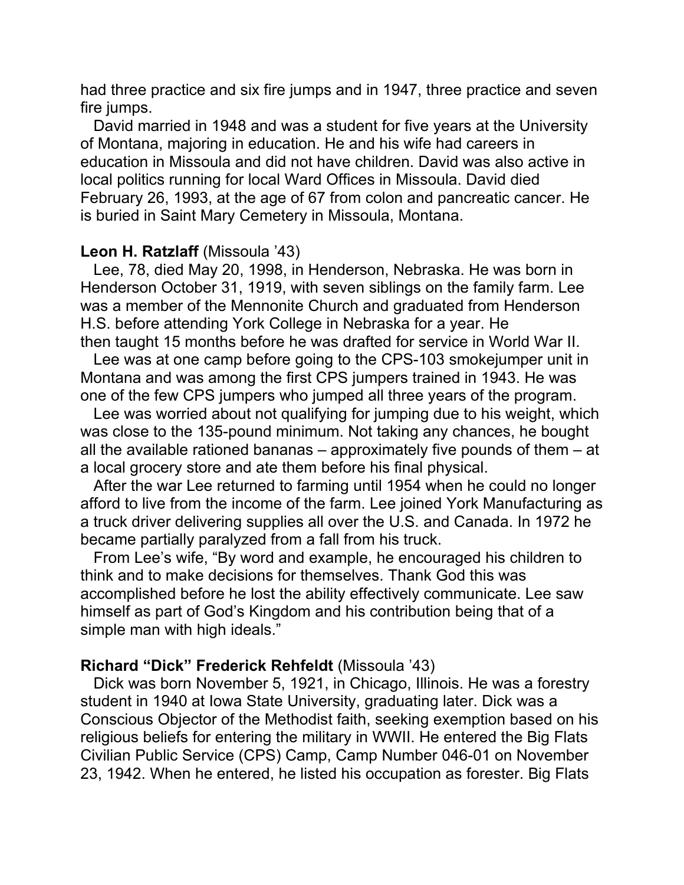had three practice and six fire jumps and in 1947, three practice and seven fire jumps.

 David married in 1948 and was a student for five years at the University of Montana, majoring in education. He and his wife had careers in education in Missoula and did not have children. David was also active in local politics running for local Ward Offices in Missoula. David died February 26, 1993, at the age of 67 from colon and pancreatic cancer. He is buried in Saint Mary Cemetery in Missoula, Montana.

#### **Leon H. Ratzlaff** (Missoula '43)

 Lee, 78, died May 20, 1998, in Henderson, Nebraska. He was born in Henderson October 31, 1919, with seven siblings on the family farm. Lee was a member of the Mennonite Church and graduated from Henderson H.S. before attending York College in Nebraska for a year. He then taught 15 months before he was drafted for service in World War II.

 Lee was at one camp before going to the CPS-103 smokejumper unit in Montana and was among the first CPS jumpers trained in 1943. He was one of the few CPS jumpers who jumped all three years of the program.

 Lee was worried about not qualifying for jumping due to his weight, which was close to the 135-pound minimum. Not taking any chances, he bought all the available rationed bananas – approximately five pounds of them – at a local grocery store and ate them before his final physical.

 After the war Lee returned to farming until 1954 when he could no longer afford to live from the income of the farm. Lee joined York Manufacturing as a truck driver delivering supplies all over the U.S. and Canada. In 1972 he became partially paralyzed from a fall from his truck.

 From Lee's wife, "By word and example, he encouraged his children to think and to make decisions for themselves. Thank God this was accomplished before he lost the ability effectively communicate. Lee saw himself as part of God's Kingdom and his contribution being that of a simple man with high ideals."

### **Richard "Dick" Frederick Rehfeldt** (Missoula '43)

 Dick was born November 5, 1921, in Chicago, Illinois. He was a forestry student in 1940 at Iowa State University, graduating later. Dick was a Conscious Objector of the Methodist faith, seeking exemption based on his religious beliefs for entering the military in WWII. He entered the Big Flats Civilian Public Service (CPS) Camp, Camp Number 046-01 on November 23, 1942. When he entered, he listed his occupation as forester. Big Flats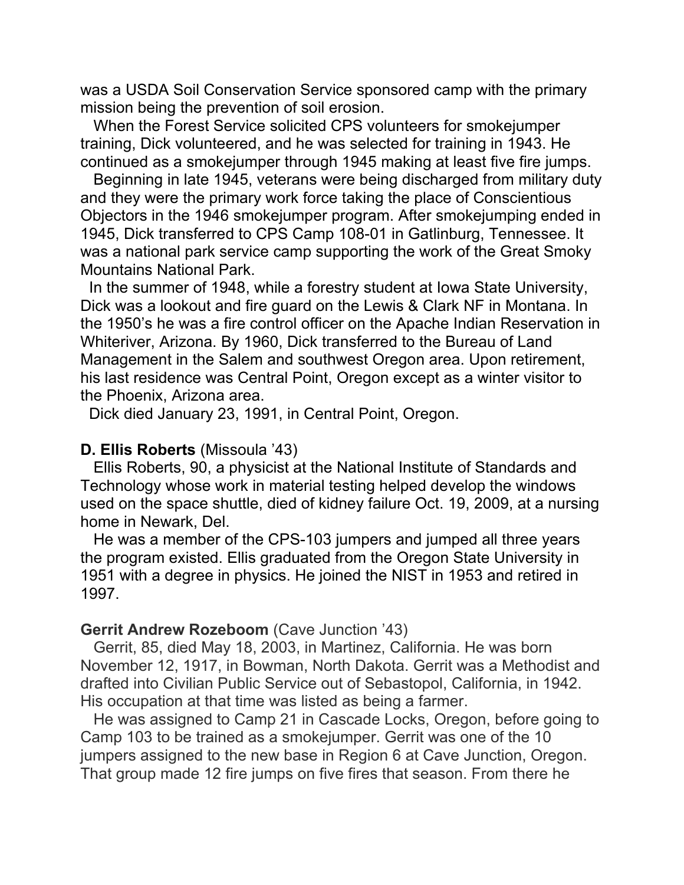was a USDA Soil Conservation Service sponsored camp with the primary mission being the prevention of soil erosion.

 When the Forest Service solicited CPS volunteers for smokejumper training, Dick volunteered, and he was selected for training in 1943. He continued as a smokejumper through 1945 making at least five fire jumps.

 Beginning in late 1945, veterans were being discharged from military duty and they were the primary work force taking the place of Conscientious Objectors in the 1946 smokejumper program. After smokejumping ended in 1945, Dick transferred to CPS Camp 108-01 in Gatlinburg, Tennessee. It was a national park service camp supporting the work of the Great Smoky Mountains National Park.

 In the summer of 1948, while a forestry student at Iowa State University, Dick was a lookout and fire guard on the Lewis & Clark NF in Montana. In the 1950's he was a fire control officer on the Apache Indian Reservation in Whiteriver, Arizona. By 1960, Dick transferred to the Bureau of Land Management in the Salem and southwest Oregon area. Upon retirement, his last residence was Central Point, Oregon except as a winter visitor to the Phoenix, Arizona area.

Dick died January 23, 1991, in Central Point, Oregon.

#### **D. Ellis Roberts** (Missoula '43)

 Ellis Roberts, 90, a physicist at the National Institute of Standards and Technology whose work in material testing helped develop the windows used on the space shuttle, died of kidney failure Oct. 19, 2009, at a nursing home in Newark, Del.

 He was a member of the CPS-103 jumpers and jumped all three years the program existed. Ellis graduated from the Oregon State University in 1951 with a degree in physics. He joined the NIST in 1953 and retired in 1997.

#### **Gerrit Andrew Rozeboom** (Cave Junction '43)

 Gerrit, 85, died May 18, 2003, in Martinez, California. He was born November 12, 1917, in Bowman, North Dakota. Gerrit was a Methodist and drafted into Civilian Public Service out of Sebastopol, California, in 1942. His occupation at that time was listed as being a farmer.

 He was assigned to Camp 21 in Cascade Locks, Oregon, before going to Camp 103 to be trained as a smokejumper. Gerrit was one of the 10 jumpers assigned to the new base in Region 6 at Cave Junction, Oregon. That group made 12 fire jumps on five fires that season. From there he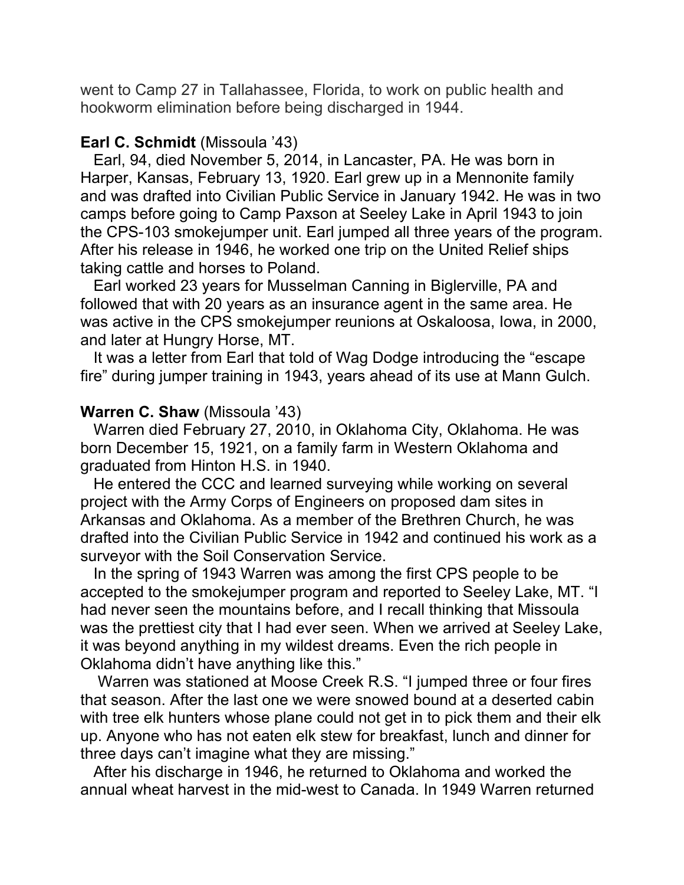went to Camp 27 in Tallahassee, Florida, to work on public health and hookworm elimination before being discharged in 1944.

### **Earl C. Schmidt** (Missoula '43)

 Earl, 94, died November 5, 2014, in Lancaster, PA. He was born in Harper, Kansas, February 13, 1920. Earl grew up in a Mennonite family and was drafted into Civilian Public Service in January 1942. He was in two camps before going to Camp Paxson at Seeley Lake in April 1943 to join the CPS-103 smokejumper unit. Earl jumped all three years of the program. After his release in 1946, he worked one trip on the United Relief ships taking cattle and horses to Poland.

 Earl worked 23 years for Musselman Canning in Biglerville, PA and followed that with 20 years as an insurance agent in the same area. He was active in the CPS smokejumper reunions at Oskaloosa, Iowa, in 2000, and later at Hungry Horse, MT.

 It was a letter from Earl that told of Wag Dodge introducing the "escape fire" during jumper training in 1943, years ahead of its use at Mann Gulch.

### **Warren C. Shaw** (Missoula '43)

 Warren died February 27, 2010, in Oklahoma City, Oklahoma. He was born December 15, 1921, on a family farm in Western Oklahoma and graduated from Hinton H.S. in 1940.

 He entered the CCC and learned surveying while working on several project with the Army Corps of Engineers on proposed dam sites in Arkansas and Oklahoma. As a member of the Brethren Church, he was drafted into the Civilian Public Service in 1942 and continued his work as a surveyor with the Soil Conservation Service.

 In the spring of 1943 Warren was among the first CPS people to be accepted to the smokejumper program and reported to Seeley Lake, MT. "I had never seen the mountains before, and I recall thinking that Missoula was the prettiest city that I had ever seen. When we arrived at Seeley Lake, it was beyond anything in my wildest dreams. Even the rich people in Oklahoma didn't have anything like this."

 Warren was stationed at Moose Creek R.S. "I jumped three or four fires that season. After the last one we were snowed bound at a deserted cabin with tree elk hunters whose plane could not get in to pick them and their elk up. Anyone who has not eaten elk stew for breakfast, lunch and dinner for three days can't imagine what they are missing."

 After his discharge in 1946, he returned to Oklahoma and worked the annual wheat harvest in the mid-west to Canada. In 1949 Warren returned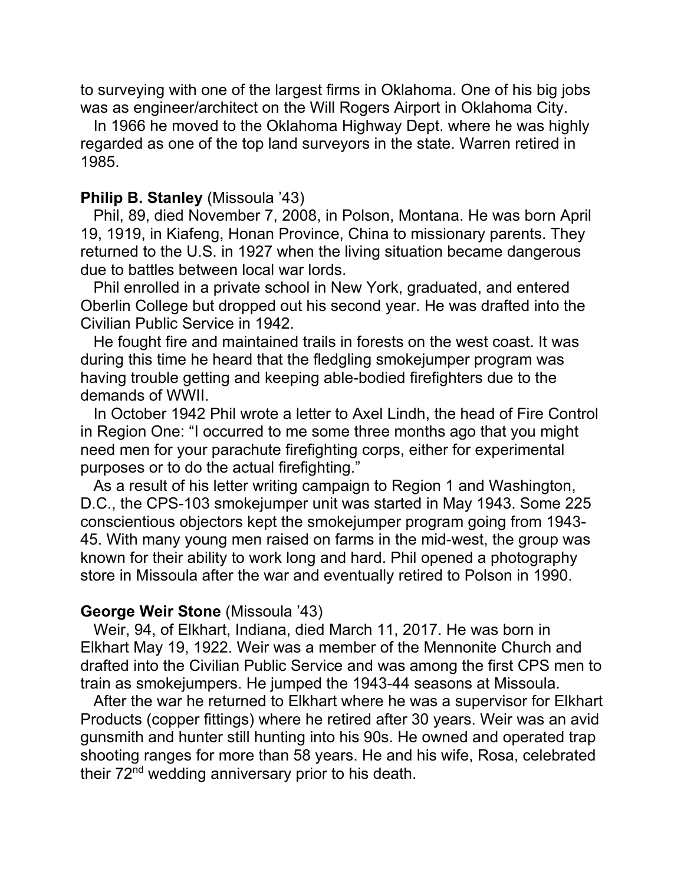to surveying with one of the largest firms in Oklahoma. One of his big jobs was as engineer/architect on the Will Rogers Airport in Oklahoma City.

 In 1966 he moved to the Oklahoma Highway Dept. where he was highly regarded as one of the top land surveyors in the state. Warren retired in 1985.

#### **Philip B. Stanley** (Missoula '43)

 Phil, 89, died November 7, 2008, in Polson, Montana. He was born April 19, 1919, in Kiafeng, Honan Province, China to missionary parents. They returned to the U.S. in 1927 when the living situation became dangerous due to battles between local war lords.

 Phil enrolled in a private school in New York, graduated, and entered Oberlin College but dropped out his second year. He was drafted into the Civilian Public Service in 1942.

 He fought fire and maintained trails in forests on the west coast. It was during this time he heard that the fledgling smokejumper program was having trouble getting and keeping able-bodied firefighters due to the demands of WWII.

 In October 1942 Phil wrote a letter to Axel Lindh, the head of Fire Control in Region One: "I occurred to me some three months ago that you might need men for your parachute firefighting corps, either for experimental purposes or to do the actual firefighting."

 As a result of his letter writing campaign to Region 1 and Washington, D.C., the CPS-103 smokejumper unit was started in May 1943. Some 225 conscientious objectors kept the smokejumper program going from 1943- 45. With many young men raised on farms in the mid-west, the group was known for their ability to work long and hard. Phil opened a photography store in Missoula after the war and eventually retired to Polson in 1990.

### **George Weir Stone** (Missoula '43)

 Weir, 94, of Elkhart, Indiana, died March 11, 2017. He was born in Elkhart May 19, 1922. Weir was a member of the Mennonite Church and drafted into the Civilian Public Service and was among the first CPS men to train as smokejumpers. He jumped the 1943-44 seasons at Missoula.

 After the war he returned to Elkhart where he was a supervisor for Elkhart Products (copper fittings) where he retired after 30 years. Weir was an avid gunsmith and hunter still hunting into his 90s. He owned and operated trap shooting ranges for more than 58 years. He and his wife, Rosa, celebrated their 72<sup>nd</sup> wedding anniversary prior to his death.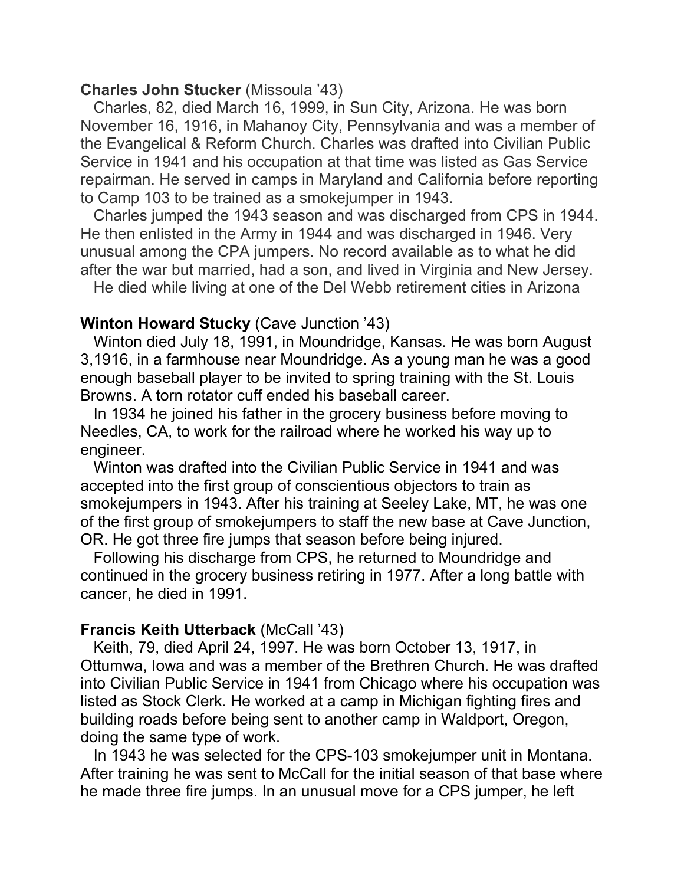### **Charles John Stucker** (Missoula '43)

 Charles, 82, died March 16, 1999, in Sun City, Arizona. He was born November 16, 1916, in Mahanoy City, Pennsylvania and was a member of the Evangelical & Reform Church. Charles was drafted into Civilian Public Service in 1941 and his occupation at that time was listed as Gas Service repairman. He served in camps in Maryland and California before reporting to Camp 103 to be trained as a smokejumper in 1943.

 Charles jumped the 1943 season and was discharged from CPS in 1944. He then enlisted in the Army in 1944 and was discharged in 1946. Very unusual among the CPA jumpers. No record available as to what he did after the war but married, had a son, and lived in Virginia and New Jersey.

He died while living at one of the Del Webb retirement cities in Arizona

### **Winton Howard Stucky** (Cave Junction '43)

 Winton died July 18, 1991, in Moundridge, Kansas. He was born August 3,1916, in a farmhouse near Moundridge. As a young man he was a good enough baseball player to be invited to spring training with the St. Louis Browns. A torn rotator cuff ended his baseball career.

 In 1934 he joined his father in the grocery business before moving to Needles, CA, to work for the railroad where he worked his way up to engineer.

 Winton was drafted into the Civilian Public Service in 1941 and was accepted into the first group of conscientious objectors to train as smokejumpers in 1943. After his training at Seeley Lake, MT, he was one of the first group of smokejumpers to staff the new base at Cave Junction, OR. He got three fire jumps that season before being injured.

 Following his discharge from CPS, he returned to Moundridge and continued in the grocery business retiring in 1977. After a long battle with cancer, he died in 1991.

# **Francis Keith Utterback (McCall '43)**

 Keith, 79, died April 24, 1997. He was born October 13, 1917, in Ottumwa, Iowa and was a member of the Brethren Church. He was drafted into Civilian Public Service in 1941 from Chicago where his occupation was listed as Stock Clerk. He worked at a camp in Michigan fighting fires and building roads before being sent to another camp in Waldport, Oregon, doing the same type of work.

 In 1943 he was selected for the CPS-103 smokejumper unit in Montana. After training he was sent to McCall for the initial season of that base where he made three fire jumps. In an unusual move for a CPS jumper, he left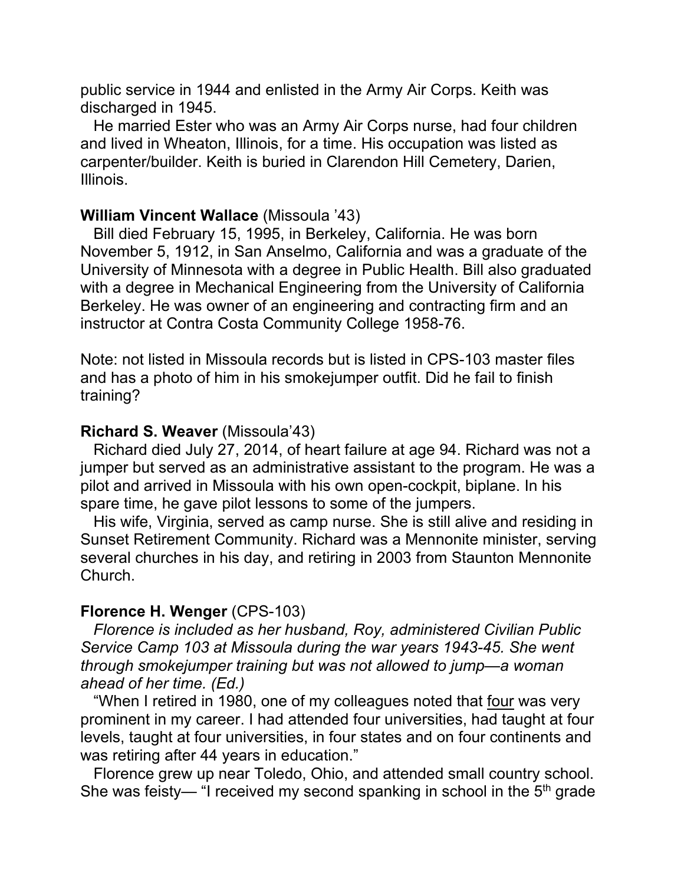public service in 1944 and enlisted in the Army Air Corps. Keith was discharged in 1945.

 He married Ester who was an Army Air Corps nurse, had four children and lived in Wheaton, Illinois, for a time. His occupation was listed as carpenter/builder. Keith is buried in Clarendon Hill Cemetery, Darien, Illinois.

### **William Vincent Wallace** (Missoula '43)

 Bill died February 15, 1995, in Berkeley, California. He was born November 5, 1912, in San Anselmo, California and was a graduate of the University of Minnesota with a degree in Public Health. Bill also graduated with a degree in Mechanical Engineering from the University of California Berkeley. He was owner of an engineering and contracting firm and an instructor at Contra Costa Community College 1958-76.

Note: not listed in Missoula records but is listed in CPS-103 master files and has a photo of him in his smokejumper outfit. Did he fail to finish training?

### **Richard S. Weaver** (Missoula'43)

 Richard died July 27, 2014, of heart failure at age 94. Richard was not a jumper but served as an administrative assistant to the program. He was a pilot and arrived in Missoula with his own open-cockpit, biplane. In his spare time, he gave pilot lessons to some of the jumpers.

 His wife, Virginia, served as camp nurse. She is still alive and residing in Sunset Retirement Community. Richard was a Mennonite minister, serving several churches in his day, and retiring in 2003 from Staunton Mennonite Church.

### **Florence H. Wenger** (CPS-103)

 *Florence is included as her husband, Roy, administered Civilian Public Service Camp 103 at Missoula during the war years 1943-45. She went through smokejumper training but was not allowed to jump—a woman ahead of her time. (Ed.)*

 "When I retired in 1980, one of my colleagues noted that four was very prominent in my career. I had attended four universities, had taught at four levels, taught at four universities, in four states and on four continents and was retiring after 44 years in education."

 Florence grew up near Toledo, Ohio, and attended small country school. She was feisty— "I received my second spanking in school in the  $5<sup>th</sup>$  grade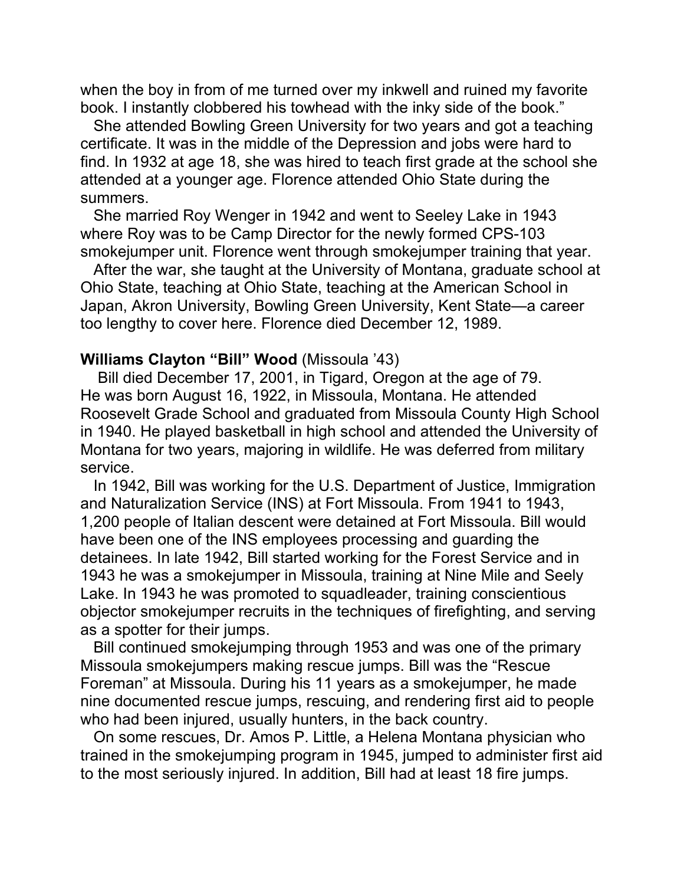when the boy in from of me turned over my inkwell and ruined my favorite book. I instantly clobbered his towhead with the inky side of the book."

 She attended Bowling Green University for two years and got a teaching certificate. It was in the middle of the Depression and jobs were hard to find. In 1932 at age 18, she was hired to teach first grade at the school she attended at a younger age. Florence attended Ohio State during the summers.

 She married Roy Wenger in 1942 and went to Seeley Lake in 1943 where Roy was to be Camp Director for the newly formed CPS-103 smokejumper unit. Florence went through smokejumper training that year.

 After the war, she taught at the University of Montana, graduate school at Ohio State, teaching at Ohio State, teaching at the American School in Japan, Akron University, Bowling Green University, Kent State—a career too lengthy to cover here. Florence died December 12, 1989.

### **Williams Clayton "Bill" Wood** (Missoula '43)

 Bill died December 17, 2001, in Tigard, Oregon at the age of 79. He was born August 16, 1922, in Missoula, Montana. He attended Roosevelt Grade School and graduated from Missoula County High School in 1940. He played basketball in high school and attended the University of Montana for two years, majoring in wildlife. He was deferred from military service.

 In 1942, Bill was working for the U.S. Department of Justice, Immigration and Naturalization Service (INS) at Fort Missoula. From 1941 to 1943, 1,200 people of Italian descent were detained at Fort Missoula. Bill would have been one of the INS employees processing and guarding the detainees. In late 1942, Bill started working for the Forest Service and in 1943 he was a smokejumper in Missoula, training at Nine Mile and Seely Lake. In 1943 he was promoted to squadleader, training conscientious objector smokejumper recruits in the techniques of firefighting, and serving as a spotter for their jumps.

 Bill continued smokejumping through 1953 and was one of the primary Missoula smokejumpers making rescue jumps. Bill was the "Rescue Foreman" at Missoula. During his 11 years as a smokejumper, he made nine documented rescue jumps, rescuing, and rendering first aid to people who had been injured, usually hunters, in the back country.

 On some rescues, Dr. Amos P. Little, a Helena Montana physician who trained in the smokejumping program in 1945, jumped to administer first aid to the most seriously injured. In addition, Bill had at least 18 fire jumps.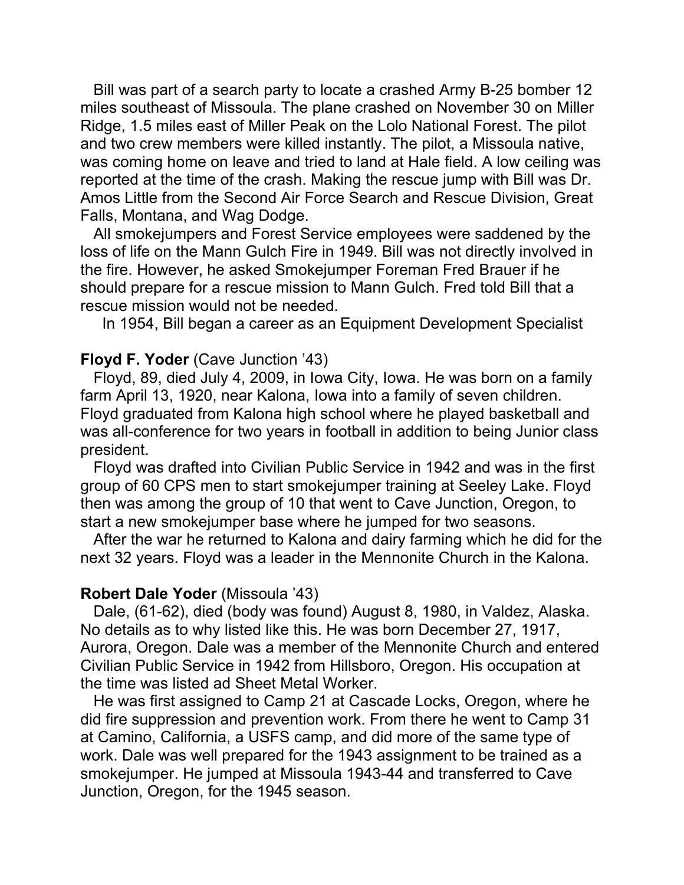Bill was part of a search party to locate a crashed Army B-25 bomber 12 miles southeast of Missoula. The plane crashed on November 30 on Miller Ridge, 1.5 miles east of Miller Peak on the Lolo National Forest. The pilot and two crew members were killed instantly. The pilot, a Missoula native, was coming home on leave and tried to land at Hale field. A low ceiling was reported at the time of the crash. Making the rescue jump with Bill was Dr. Amos Little from the Second Air Force Search and Rescue Division, Great Falls, Montana, and Wag Dodge.

 All smokejumpers and Forest Service employees were saddened by the loss of life on the Mann Gulch Fire in 1949. Bill was not directly involved in the fire. However, he asked Smokejumper Foreman Fred Brauer if he should prepare for a rescue mission to Mann Gulch. Fred told Bill that a rescue mission would not be needed.

In 1954, Bill began a career as an Equipment Development Specialist

#### **Floyd F. Yoder** (Cave Junction '43)

 Floyd, 89, died July 4, 2009, in Iowa City, Iowa. He was born on a family farm April 13, 1920, near Kalona, Iowa into a family of seven children. Floyd graduated from Kalona high school where he played basketball and was all-conference for two years in football in addition to being Junior class president.

 Floyd was drafted into Civilian Public Service in 1942 and was in the first group of 60 CPS men to start smokejumper training at Seeley Lake. Floyd then was among the group of 10 that went to Cave Junction, Oregon, to start a new smokejumper base where he jumped for two seasons.

 After the war he returned to Kalona and dairy farming which he did for the next 32 years. Floyd was a leader in the Mennonite Church in the Kalona.

#### **Robert Dale Yoder** (Missoula '43)

 Dale, (61-62), died (body was found) August 8, 1980, in Valdez, Alaska. No details as to why listed like this. He was born December 27, 1917, Aurora, Oregon. Dale was a member of the Mennonite Church and entered Civilian Public Service in 1942 from Hillsboro, Oregon. His occupation at the time was listed ad Sheet Metal Worker.

 He was first assigned to Camp 21 at Cascade Locks, Oregon, where he did fire suppression and prevention work. From there he went to Camp 31 at Camino, California, a USFS camp, and did more of the same type of work. Dale was well prepared for the 1943 assignment to be trained as a smokejumper. He jumped at Missoula 1943-44 and transferred to Cave Junction, Oregon, for the 1945 season.